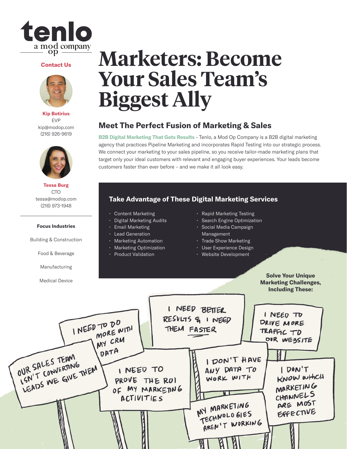

#### **Contact Us**



**Kip Botirius** EVP kip@modop.com (216) 926-9619



**Tessa Burg** CTO tessa@modop.com (216) 973-1948

#### **Focus Industries**

Building & Construction

Food & Beverage

Manufacturing

Medical Device

## **Marketers: Become Your Sales Team's Biggest Ally**

### **Meet The Perfect Fusion of Marketing & Sales**

**B2B Digital Marketing That Gets Results** - Tenlo, a Mod Op Company is a B2B digital marketing agency that practices Pipeline Marketing and incorporates Rapid Testing into our strategic process. We connect your marketing to your sales pipeline, so you receive tailor-made marketing plans that target only your ideal customers with relevant and engaging buyer experiences. Your leads become customers faster than ever before – and we make it all look easy.

### **Take Advantage of These Digital Marketing Services**

- Content Marketing
- Digital Marketing Audits
- Email Marketing
- Lead Generation
- Marketing Automation
- Marketing Optimization
- Product Validation
- Rapid Marketing Testing
- Search Engine Optimization
- Social Media Campaign Management
- Trade Show Marketing
- User Experience Design
- Website Development

**Solve Your Unique Marketing Challenges, Including These:**